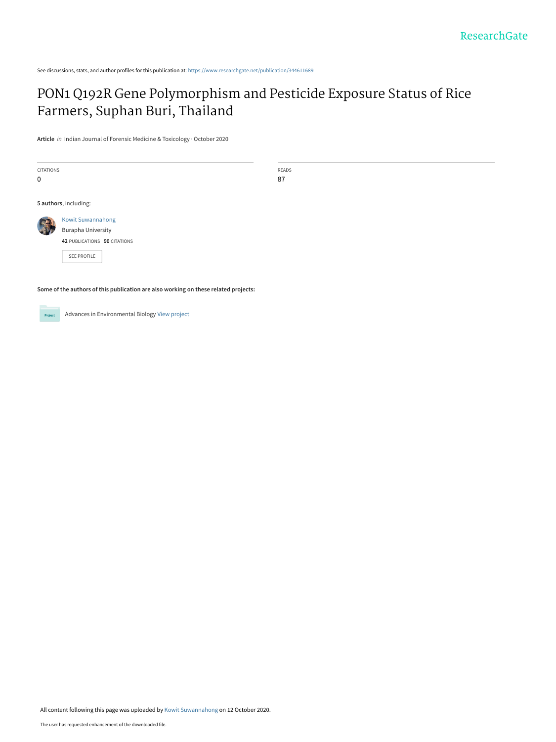See discussions, stats, and author profiles for this publication at: [https://www.researchgate.net/publication/344611689](https://www.researchgate.net/publication/344611689_PON1_Q192R_Gene_Polymorphism_and_Pesticide_Exposure_Status_of_Rice_Farmers_Suphan_Buri_Thailand?enrichId=rgreq-e0e2afd5ecf42514f01a49e3177a8e5d-XXX&enrichSource=Y292ZXJQYWdlOzM0NDYxMTY4OTtBUzo5NDU4MTExODE1NTk4MDlAMTYwMjUxMDM2NjI3NA%3D%3D&el=1_x_2&_esc=publicationCoverPdf)

# [PON1 Q192R Gene Polymorphism and Pesticide Exposure Status of Rice](https://www.researchgate.net/publication/344611689_PON1_Q192R_Gene_Polymorphism_and_Pesticide_Exposure_Status_of_Rice_Farmers_Suphan_Buri_Thailand?enrichId=rgreq-e0e2afd5ecf42514f01a49e3177a8e5d-XXX&enrichSource=Y292ZXJQYWdlOzM0NDYxMTY4OTtBUzo5NDU4MTExODE1NTk4MDlAMTYwMjUxMDM2NjI3NA%3D%3D&el=1_x_3&_esc=publicationCoverPdf) Farmers, Suphan Buri, Thailand

**Article** in Indian Journal of Forensic Medicine & Toxicology · October 2020

CITATIONS 0

READS 87

**5 authors**, including:



[SEE PROFILE](https://www.researchgate.net/profile/Kowit-Suwannahong?enrichId=rgreq-e0e2afd5ecf42514f01a49e3177a8e5d-XXX&enrichSource=Y292ZXJQYWdlOzM0NDYxMTY4OTtBUzo5NDU4MTExODE1NTk4MDlAMTYwMjUxMDM2NjI3NA%3D%3D&el=1_x_7&_esc=publicationCoverPdf)

**Some of the authors of this publication are also working on these related projects:**



Advances in Environmental Biology [View project](https://www.researchgate.net/project/Advances-in-Environmental-Biology?enrichId=rgreq-e0e2afd5ecf42514f01a49e3177a8e5d-XXX&enrichSource=Y292ZXJQYWdlOzM0NDYxMTY4OTtBUzo5NDU4MTExODE1NTk4MDlAMTYwMjUxMDM2NjI3NA%3D%3D&el=1_x_9&_esc=publicationCoverPdf)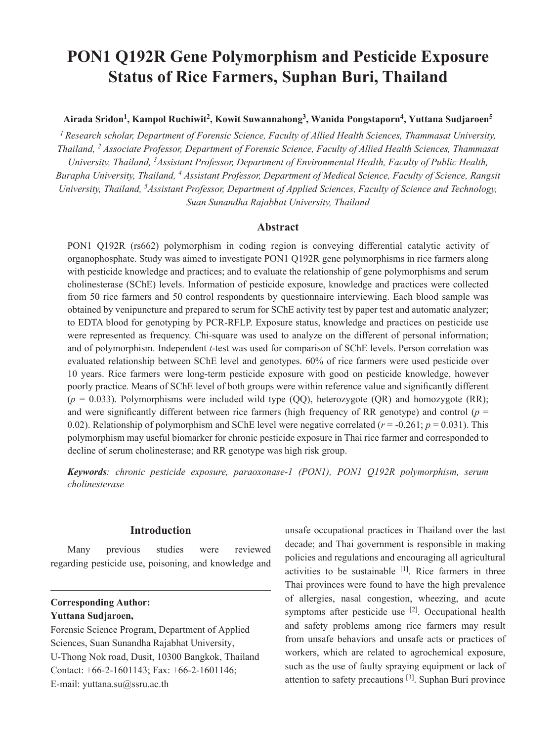# **PON1 Q192R Gene Polymorphism and Pesticide Exposure Status of Rice Farmers, Suphan Buri, Thailand**

**Airada Sridon1, Kampol Ruchiwit2 , Kowit Suwannahong<sup>3</sup> , Wanida Pongstaporn<sup>4</sup> , Yuttana Sudjaroen<sup>5</sup>**

*1 Research scholar, Department of Forensic Science, Faculty of Allied Health Sciences, Thammasat University, Thailand, <sup>2</sup> Associate Professor, Department of Forensic Science, Faculty of Allied Health Sciences, Thammasat University, Thailand, 3Assistant Professor, Department of Environmental Health, Faculty of Public Health, Burapha University, Thailand, 4 Assistant Professor, Department of Medical Science, Faculty of Science, Rangsit University, Thailand, 5Assistant Professor, Department of Applied Sciences, Faculty of Science and Technology, Suan Sunandha Rajabhat University, Thailand* 

# **Abstract**

PON1 Q192R (rs662) polymorphism in coding region is conveying differential catalytic activity of organophosphate. Study was aimed to investigate PON1 Q192R gene polymorphisms in rice farmers along with pesticide knowledge and practices; and to evaluate the relationship of gene polymorphisms and serum cholinesterase (SChE) levels. Information of pesticide exposure, knowledge and practices were collected from 50 rice farmers and 50 control respondents by questionnaire interviewing. Each blood sample was obtained by venipuncture and prepared to serum for SChE activity test by paper test and automatic analyzer; to EDTA blood for genotyping by PCR-RFLP. Exposure status, knowledge and practices on pesticide use were represented as frequency. Chi-square was used to analyze on the different of personal information; and of polymorphism. Independent *t*-test was used for comparison of SChE levels. Person correlation was evaluated relationship between SChE level and genotypes. 60% of rice farmers were used pesticide over 10 years. Rice farmers were long-term pesticide exposure with good on pesticide knowledge, however poorly practice. Means of SChE level of both groups were within reference value and significantly different (*p* = 0.033). Polymorphisms were included wild type (QQ), heterozygote (QR) and homozygote (RR); and were significantly different between rice farmers (high frequency of RR genotype) and control ( $p =$ 0.02). Relationship of polymorphism and SChE level were negative correlated ( $r = -0.261$ ;  $p = 0.031$ ). This polymorphism may useful biomarker for chronic pesticide exposure in Thai rice farmer and corresponded to decline of serum cholinesterase; and RR genotype was high risk group.

*Keywords: chronic pesticide exposure, paraoxonase-1 (PON1), PON1 Q192R polymorphism, serum cholinesterase*

## **Introduction**

Many previous studies were reviewed regarding pesticide use, poisoning, and knowledge and

### **Corresponding Author: Yuttana Sudjaroen,**

Forensic Science Program, Department of Applied Sciences, Suan Sunandha Rajabhat University, U-Thong Nok road, Dusit, 10300 Bangkok, Thailand Contact: +66-2-1601143; Fax: +66-2-1601146; E-mail: yuttana.su@ssru.ac.th

unsafe occupational practices in Thailand over the last decade; and Thai government is responsible in making policies and regulations and encouraging all agricultural activities to be sustainable  $[1]$ . Rice farmers in three Thai provinces were found to have the high prevalence of allergies, nasal congestion, wheezing, and acute symptoms after pesticide use  $[2]$ . Occupational health and safety problems among rice farmers may result from unsafe behaviors and unsafe acts or practices of workers, which are related to agrochemical exposure, such as the use of faulty spraying equipment or lack of attention to safety precautions  $[3]$ . Suphan Buri province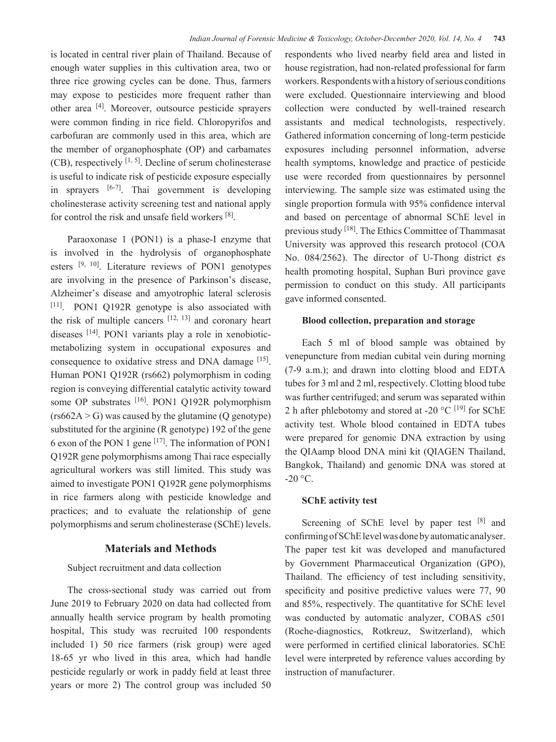is located in central river plain of Thailand. Because of enough water supplies in this cultivation area, two or three rice growing cycles can be done. Thus, farmers may expose to pesticides more frequent rather than other area [4]. Moreover, outsource pesticide sprayers were common finding in rice field. Chloropyrifos and carbofuran are commonly used in this area, which are the member of organophosphate (OP) and carbamates (CB), respectively  $[1, 5]$ . Decline of serum cholinesterase is useful to indicate risk of pesticide exposure especially in sprayers  $[6-7]$ . Thai government is developing cholinesterase activity screening test and national apply for control the risk and unsafe field workers [8].

Paraoxonase 1 (PON1) is a phase-I enzyme that is involved in the hydrolysis of organophosphate esters [9, 10]. Literature reviews of PON1 genotypes are involving in the presence of Parkinson's disease, Alzheimer's disease and amyotrophic lateral sclerosis [11]. PON1 Q192R genotype is also associated with the risk of multiple cancers  $[12, 13]$  and coronary heart diseases [14]. PON1 variants play a role in xenobioticmetabolizing system in occupational exposures and consequence to oxidative stress and DNA damage [15]. Human PON1 Q192R (rs662) polymorphism in coding region is conveying differential catalytic activity toward some OP substrates [16]. PON1 Q192R polymorphism  $(rs662A > G)$  was caused by the glutamine (Q genotype) substituted for the arginine (R genotype) 192 of the gene 6 exon of the PON 1 gene [17]. The information of PON1 Q192R gene polymorphisms among Thai race especially agricultural workers was still limited. This study was aimed to investigate PON1 Q192R gene polymorphisms in rice farmers along with pesticide knowledge and practices; and to evaluate the relationship of gene polymorphisms and serum cholinesterase (SChE) levels.

#### **Materials and Methods**

#### Subject recruitment and data collection

The cross-sectional study was carried out from June 2019 to February 2020 on data had collected from annually health service program by health promoting hospital, This study was recruited 100 respondents included 1) 50 rice farmers (risk group) were aged 18-65 yr who lived in this area, which had handle pesticide regularly or work in paddy field at least three years or more 2) The control group was included 50

respondents who lived nearby field area and listed in house registration, had non-related professional for farm workers. Respondents with a history of serious conditions were excluded. Questionnaire interviewing and blood collection were conducted by well-trained research assistants and medical technologists, respectively. Gathered information concerning of long-term pesticide exposures including personnel information, adverse health symptoms, knowledge and practice of pesticide use were recorded from questionnaires by personnel interviewing. The sample size was estimated using the single proportion formula with 95% confidence interval and based on percentage of abnormal SChE level in previous study [18]. The Ethics Committee of Thammasat University was approved this research protocol (COA No. 084/2562). The director of U-Thong district ¢s health promoting hospital, Suphan Buri province gave permission to conduct on this study. All participants gave informed consented.

#### **Blood collection, preparation and storage**

Each 5 ml of blood sample was obtained by venepuncture from median cubital vein during morning (7-9 a.m.); and drawn into clotting blood and EDTA tubes for 3 ml and 2 ml, respectively. Clotting blood tube was further centrifuged; and serum was separated within 2 h after phlebotomy and stored at -20  $^{\circ}$ C <sup>[19]</sup> for SChE activity test. Whole blood contained in EDTA tubes were prepared for genomic DNA extraction by using the QIAamp blood DNA mini kit (QIAGEN Thailand, Bangkok, Thailand) and genomic DNA was stored at  $-20$  °C.

#### **SChE activity test**

Screening of SChE level by paper test [8] and confirming of SChE level was done by automatic analyser. The paper test kit was developed and manufactured by Government Pharmaceutical Organization (GPO), Thailand. The efficiency of test including sensitivity, specificity and positive predictive values were 77, 90 and 85%, respectively. The quantitative for SChE level was conducted by automatic analyzer, COBAS c501 (Roche-diagnostics, Rotkreuz, Switzerland), which were performed in certified clinical laboratories. SChE level were interpreted by reference values according by instruction of manufacturer.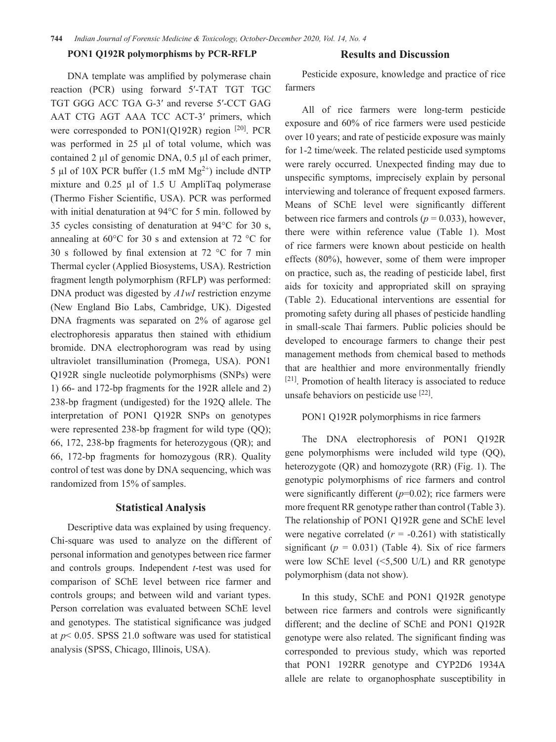#### **PON1 Q192R polymorphisms by PCR-RFLP**

#### **Results and Discussion**

DNA template was amplified by polymerase chain reaction (PCR) using forward 5′-TAT TGT TGC TGT GGG ACC TGA G-3′ and reverse 5′-CCT GAG AAT CTG AGT AAA TCC ACT-3′ primers, which were corresponded to  $PON1(Q192R)$  region  $[20]$ . PCR was performed in 25 µl of total volume, which was contained 2  $\mu$ l of genomic DNA, 0.5  $\mu$ l of each primer, 5 µl of 10X PCR buffer  $(1.5 \text{ mM Mg}^{2+})$  include dNTP mixture and 0.25 µl of 1.5 U AmpliTaq polymerase (Thermo Fisher Scientific, USA). PCR was performed with initial denaturation at 94°C for 5 min. followed by 35 cycles consisting of denaturation at 94°C for 30 s, annealing at 60°C for 30 s and extension at 72 °C for 30 s followed by final extension at 72 °C for 7 min Thermal cycler (Applied Biosystems, USA). Restriction fragment length polymorphism (RFLP) was performed: DNA product was digested by *A1wI* restriction enzyme (New England Bio Labs, Cambridge, UK). Digested DNA fragments was separated on 2% of agarose gel electrophoresis apparatus then stained with ethidium bromide. DNA electrophorogram was read by using ultraviolet transillumination (Promega, USA). PON1 Q192R single nucleotide polymorphisms (SNPs) were 1) 66- and 172-bp fragments for the 192R allele and 2) 238-bp fragment (undigested) for the 192Q allele. The interpretation of PON1 Q192R SNPs on genotypes were represented 238-bp fragment for wild type (OO); 66, 172, 238-bp fragments for heterozygous (QR); and 66, 172-bp fragments for homozygous (RR). Quality control of test was done by DNA sequencing, which was randomized from 15% of samples.

# **Statistical Analysis**

Descriptive data was explained by using frequency. Chi-square was used to analyze on the different of personal information and genotypes between rice farmer and controls groups. Independent *t*-test was used for comparison of SChE level between rice farmer and controls groups; and between wild and variant types. Person correlation was evaluated between SChE level and genotypes. The statistical significance was judged at *p*< 0.05. SPSS 21.0 software was used for statistical analysis (SPSS, Chicago, Illinois, USA).

Pesticide exposure, knowledge and practice of rice farmers

All of rice farmers were long-term pesticide exposure and 60% of rice farmers were used pesticide over 10 years; and rate of pesticide exposure was mainly for 1-2 time/week. The related pesticide used symptoms were rarely occurred. Unexpected finding may due to unspecific symptoms, imprecisely explain by personal interviewing and tolerance of frequent exposed farmers. Means of SChE level were significantly different between rice farmers and controls ( $p = 0.033$ ), however, there were within reference value (Table 1). Most of rice farmers were known about pesticide on health effects (80%), however, some of them were improper on practice, such as, the reading of pesticide label, first aids for toxicity and appropriated skill on spraying (Table 2). Educational interventions are essential for promoting safety during all phases of pesticide handling in small-scale Thai farmers. Public policies should be developed to encourage farmers to change their pest management methods from chemical based to methods that are healthier and more environmentally friendly [21]. Promotion of health literacy is associated to reduce unsafe behaviors on pesticide use [22].

#### PON1 Q192R polymorphisms in rice farmers

The DNA electrophoresis of PON1 Q192R gene polymorphisms were included wild type (QQ), heterozygote (QR) and homozygote (RR) (Fig. 1). The genotypic polymorphisms of rice farmers and control were significantly different (*p*=0.02); rice farmers were more frequent RR genotype rather than control (Table 3). The relationship of PON1 Q192R gene and SChE level were negative correlated  $(r = -0.261)$  with statistically significant ( $p = 0.031$ ) (Table 4). Six of rice farmers were low SChE level (<5,500 U/L) and RR genotype polymorphism (data not show).

In this study, SChE and PON1 Q192R genotype between rice farmers and controls were significantly different; and the decline of SChE and PON1 Q192R genotype were also related. The significant finding was corresponded to previous study, which was reported that PON1 192RR genotype and CYP2D6 1934A allele are relate to organophosphate susceptibility in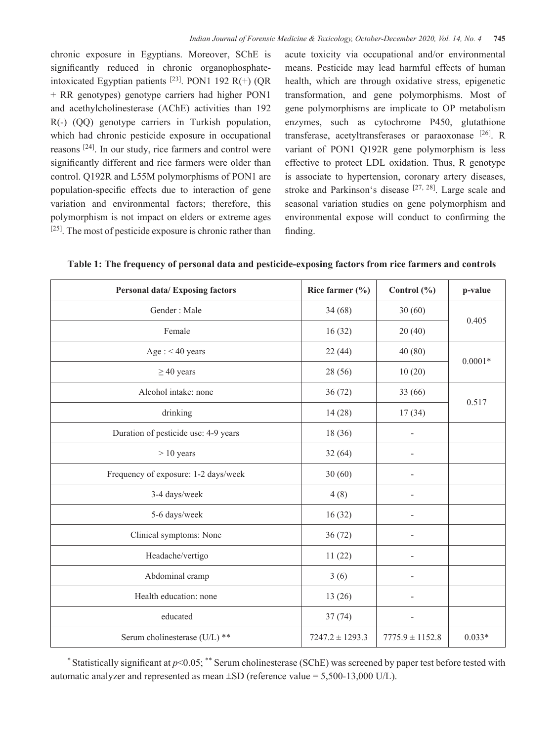chronic exposure in Egyptians. Moreover, SChE is significantly reduced in chronic organophosphateintoxicated Egyptian patients  $^{[23]}$ . PON1 192 R(+) (OR + RR genotypes) genotype carriers had higher PON1 and acethylcholinesterase (AChE) activities than 192 R(-) (QQ) genotype carriers in Turkish population, which had chronic pesticide exposure in occupational reasons [24]. In our study, rice farmers and control were significantly different and rice farmers were older than control. Q192R and L55M polymorphisms of PON1 are population-specific effects due to interaction of gene variation and environmental factors; therefore, this polymorphism is not impact on elders or extreme ages [25]. The most of pesticide exposure is chronic rather than acute toxicity via occupational and/or environmental means. Pesticide may lead harmful effects of human health, which are through oxidative stress, epigenetic transformation, and gene polymorphisms. Most of gene polymorphisms are implicate to OP metabolism enzymes, such as cytochrome P450, glutathione transferase, acetyltransferases or paraoxonase [26]. R variant of PON1 Q192R gene polymorphism is less effective to protect LDL oxidation. Thus, R genotype is associate to hypertension, coronary artery diseases, stroke and Parkinson's disease  $[27, 28]$ . Large scale and seasonal variation studies on gene polymorphism and environmental expose will conduct to confirming the finding.

|  | Table 1: The frequency of personal data and pesticide-exposing factors from rice farmers and controls |  |  |  |  |  |  |  |  |  |  |  |
|--|-------------------------------------------------------------------------------------------------------|--|--|--|--|--|--|--|--|--|--|--|
|--|-------------------------------------------------------------------------------------------------------|--|--|--|--|--|--|--|--|--|--|--|

| <b>Personal data/Exposing factors</b> | Rice farmer $(\% )$ | Control (%)                  | p-value   |  |
|---------------------------------------|---------------------|------------------------------|-----------|--|
| Gender: Male                          | 34(68)              | 30(60)                       | 0.405     |  |
| Female                                | 16(32)              | 20(40)                       |           |  |
| Age: $< 40$ years                     | 22(44)              | 40(80)                       |           |  |
| $\geq$ 40 years                       | 28 (56)             | 10(20)                       | $0.0001*$ |  |
| Alcohol intake: none                  | 36(72)              | 33 (66)                      |           |  |
| drinking                              | 14(28)              | 17(34)                       | 0.517     |  |
| Duration of pesticide use: 4-9 years  | 18(36)              |                              |           |  |
| $> 10$ years                          | 32(64)              |                              |           |  |
| Frequency of exposure: 1-2 days/week  | 30(60)              |                              |           |  |
| 3-4 days/week                         | 4(8)                |                              |           |  |
| 5-6 days/week                         | 16(32)              | ÷,                           |           |  |
| Clinical symptoms: None               | 36(72)              | $\overline{\phantom{a}}$     |           |  |
| Headache/vertigo                      | 11(22)              | $\qquad \qquad \blacksquare$ |           |  |
| Abdominal cramp                       | 3(6)                | $\overline{\phantom{a}}$     |           |  |
| Health education: none                | 13(26)              |                              |           |  |
| educated                              | 37(74)              | ÷,                           |           |  |
| Serum cholinesterase (U/L) **         | $7247.2 \pm 1293.3$ | $7775.9 \pm 1152.8$          | $0.033*$  |  |

\* Statistically significant at *p*<0.05; \*\* Serum cholinesterase (SChE) was screened by paper test before tested with automatic analyzer and represented as mean  $\pm SD$  (reference value = 5,500-13,000 U/L).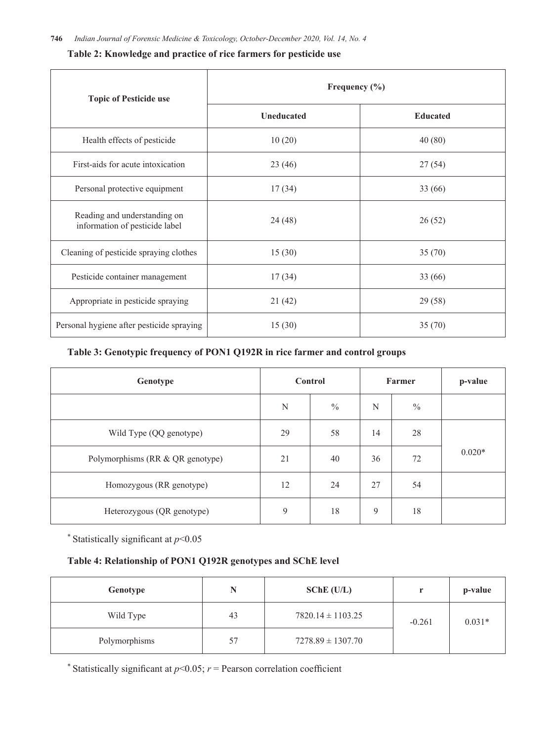| <b>Topic of Pesticide use</b>                                  | Frequency $(\% )$ |                 |  |  |
|----------------------------------------------------------------|-------------------|-----------------|--|--|
|                                                                | <b>Uneducated</b> | <b>Educated</b> |  |  |
| Health effects of pesticide                                    | 10(20)            | 40(80)          |  |  |
| First-aids for acute intoxication                              | 23(46)            | 27(54)          |  |  |
| Personal protective equipment                                  | 17(34)            | 33 (66)         |  |  |
| Reading and understanding on<br>information of pesticide label | 24 (48)           | 26(52)          |  |  |
| Cleaning of pesticide spraying clothes                         | 15(30)            | 35(70)          |  |  |
| Pesticide container management                                 | 17(34)            | 33 (66)         |  |  |
| Appropriate in pesticide spraying                              | 21(42)            | 29(58)          |  |  |
| Personal hygiene after pesticide spraying                      | 15(30)            | 35(70)          |  |  |

# **Table 3: Genotypic frequency of PON1 Q192R in rice farmer and control groups**

| Genotype                         |    | <b>Control</b> |    | Farmer        | p-value  |
|----------------------------------|----|----------------|----|---------------|----------|
|                                  | N  | $\frac{0}{0}$  | N  | $\frac{0}{0}$ |          |
| Wild Type (QQ genotype)          | 29 | 58             | 14 | 28            |          |
| Polymorphisms (RR & QR genotype) | 21 | 40             | 36 | 72            | $0.020*$ |
| Homozygous (RR genotype)         | 12 | 24             | 27 | 54            |          |
| Heterozygous (QR genotype)       | 9  | 18             | 9  | 18            |          |

\* Statistically significant at *p*<0.05

# **Table 4: Relationship of PON1 Q192R genotypes and SChE level**

| Genotype      | N  | $SChE$ (U/L)                      | w۰ | p-value  |
|---------------|----|-----------------------------------|----|----------|
| Wild Type     | 43 | $7820.14 \pm 1103.25$<br>$-0.261$ |    | $0.031*$ |
| Polymorphisms | 57 | $7278.89 \pm 1307.70$             |    |          |

\* Statistically significant at  $p<0.05$ ;  $r$  = Pearson correlation coefficient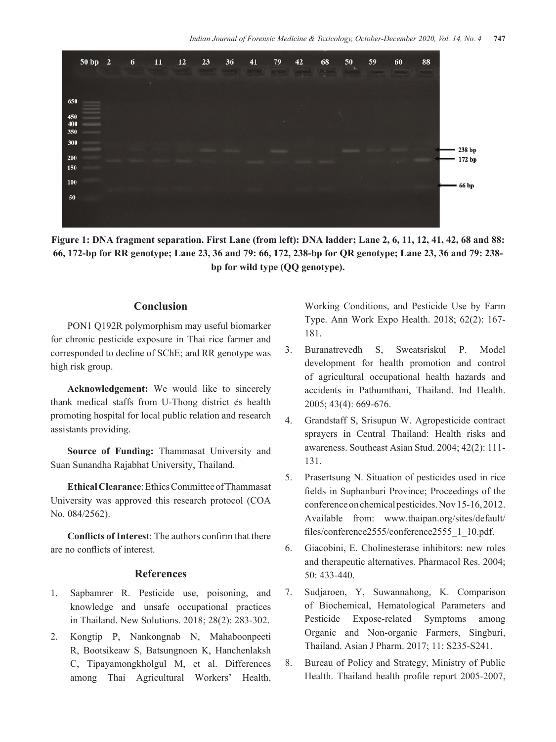

**Figure 1: DNA fragment separation. First Lane (from left): DNA ladder; Lane 2, 6, 11, 12, 41, 42, 68 and 88: 66, 172-bp for RR genotype; Lane 23, 36 and 79: 66, 172, 238-bp for QR genotype; Lane 23, 36 and 79: 238 bp for wild type (QQ genotype).** 

# **Conclusion**

PON1 Q192R polymorphism may useful biomarker for chronic pesticide exposure in Thai rice farmer and corresponded to decline of SChE; and RR genotype was high risk group.

**Acknowledgement:** We would like to sincerely thank medical staffs from U-Thong district ¢s health promoting hospital for local public relation and research assistants providing.

**Source of Funding:** Thammasat University and Suan Sunandha Rajabhat University, Thailand.

**Ethical Clearance**: Ethics Committee of Thammasat University was approved this research protocol (COA No. 084/2562).

**Conflicts of Interest:** The authors confirm that there are no conflicts of interest.

#### **References**

- 1. Sapbamrer R. Pesticide use, poisoning, and knowledge and unsafe occupational practices in Thailand. New Solutions. 2018; 28(2): 283-302.
- 2. Kongtip P, Nankongnab N, Mahaboonpeeti R, Bootsikeaw S, Batsungnoen K, Hanchenlaksh C, Tipayamongkholgul M, et al. Differences among Thai Agricultural Workers' Health,

Working Conditions, and Pesticide Use by Farm Type. Ann Work Expo Health. 2018; 62(2): 167- 181.

- 3. Buranatrevedh S, Sweatsriskul P. Model development for health promotion and control of agricultural occupational health hazards and accidents in Pathumthani, Thailand. Ind Health. 2005; 43(4): 669-676.
- 4. Grandstaff S, Srisupun W. Agropesticide contract sprayers in Central Thailand: Health risks and awareness. Southeast Asian Stud. 2004; 42(2): 111- 131.
- 5. Prasertsung N. Situation of pesticides used in rice fields in Suphanburi Province; Proceedings of the conference on chemical pesticides. Nov 15-16, 2012. Available from: www.thaipan.org/sites/default/ files/conference2555/conference2555\_1\_10.pdf.
- 6. Giacobini, E. Cholinesterase inhibitors: new roles and therapeutic alternatives. Pharmacol Res. 2004; 50: 433-440.
- 7. Sudjaroen, Y, Suwannahong, K. Comparison of Biochemical, Hematological Parameters and Pesticide Expose-related Symptoms among Organic and Non-organic Farmers, Singburi, Thailand. Asian J Pharm. 2017; 11: S235-S241.
- 8. Bureau of Policy and Strategy, Ministry of Public Health. Thailand health profile report 2005-2007,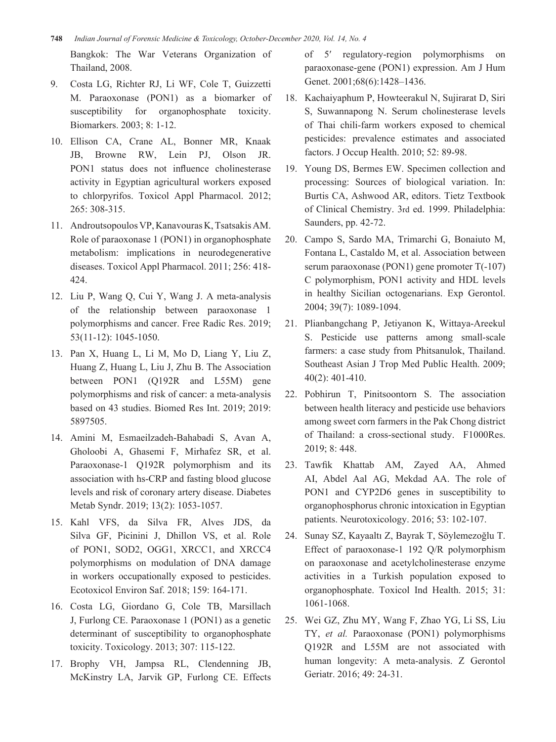- **748** *Indian Journal of Forensic Medicine & Toxicology, October-December 2020, Vol. 14, No. 4* Bangkok: The War Veterans Organization of Thailand, 2008.
- 9. Costa LG, Richter RJ, Li WF, Cole T, Guizzetti M. Paraoxonase (PON1) as a biomarker of susceptibility for organophosphate toxicity. Biomarkers. 2003; 8: 1-12.
- 10. Ellison CA, Crane AL, Bonner MR, Knaak JB, Browne RW, Lein PJ, Olson JR. PON1 status does not influence cholinesterase activity in Egyptian agricultural workers exposed to chlorpyrifos. Toxicol Appl Pharmacol. 2012; 265: 308-315.
- 11. Androutsopoulos VP,Kanavouras K,Tsatsakis AM. Role of paraoxonase 1 (PON1) in organophosphate metabolism: implications in neurodegenerative diseases. Toxicol Appl Pharmacol. 2011; 256: 418- 424.
- 12. Liu P, Wang Q, Cui Y, Wang J. A meta-analysis of the relationship between paraoxonase 1 polymorphisms and cancer. Free Radic Res. 2019; 53(11-12): 1045-1050.
- 13. Pan X, Huang L, Li M, Mo D, Liang Y, Liu Z, Huang Z, Huang L, Liu J, Zhu B. The Association between PON1 (Q192R and L55M) gene polymorphisms and risk of cancer: a meta-analysis based on 43 studies. Biomed Res Int. 2019; 2019: 5897505.
- 14. Amini M, Esmaeilzadeh-Bahabadi S, Avan A, Gholoobi A, Ghasemi F, Mirhafez SR, et al. Paraoxonase-1 Q192R polymorphism and its association with hs-CRP and fasting blood glucose levels and risk of coronary artery disease. Diabetes Metab Syndr. 2019; 13(2): 1053-1057.
- 15. Kahl VFS, da Silva FR, Alves JDS, da Silva GF, Picinini J, Dhillon VS, et al. Role of PON1, SOD2, OGG1, XRCC1, and XRCC4 polymorphisms on modulation of DNA damage in workers occupationally exposed to pesticides. Ecotoxicol Environ Saf. 2018; 159: 164-171.
- 16. Costa LG, Giordano G, Cole TB, Marsillach J, Furlong CE. Paraoxonase 1 (PON1) as a genetic determinant of susceptibility to organophosphate toxicity. Toxicology. 2013; 307: 115-122.
- 17. Brophy VH, Jampsa RL, Clendenning JB, McKinstry LA, Jarvik GP, Furlong CE. Effects

of 5′ regulatory-region polymorphisms on paraoxonase-gene (PON1) expression. Am J Hum Genet. 2001;68(6):1428–1436.

- 18. Kachaiyaphum P, Howteerakul N, Sujirarat D, Siri S, Suwannapong N. Serum cholinesterase levels of Thai chili-farm workers exposed to chemical pesticides: prevalence estimates and associated factors. J Occup Health. 2010; 52: 89-98.
- 19. Young DS, Bermes EW. Specimen collection and processing: Sources of biological variation. In: Burtis CA, Ashwood AR, editors. Tietz Textbook of Clinical Chemistry. 3rd ed. 1999. Philadelphia: Saunders, pp. 42-72.
- 20. Campo S, Sardo MA, Trimarchi G, Bonaiuto M, Fontana L, Castaldo M, et al. Association between serum paraoxonase (PON1) gene promoter T(-107) C polymorphism, PON1 activity and HDL levels in healthy Sicilian octogenarians. Exp Gerontol. 2004; 39(7): 1089-1094.
- 21. Plianbangchang P, Jetiyanon K, Wittaya-Areekul S. Pesticide use patterns among small-scale farmers: a case study from Phitsanulok, Thailand. Southeast Asian J Trop Med Public Health. 2009; 40(2): 401-410.
- 22. Pobhirun T, Pinitsoontorn S. The association between health literacy and pesticide use behaviors among sweet corn farmers in the Pak Chong district of Thailand: a cross-sectional study. F1000Res. 2019; 8: 448.
- 23. Tawfik Khattab AM, Zayed AA, Ahmed AI, Abdel Aal AG, Mekdad AA. The role of PON1 and CYP2D6 genes in susceptibility to organophosphorus chronic intoxication in Egyptian patients. Neurotoxicology. 2016; 53: 102-107.
- 24. Sunay SZ, Kayaaltı Z, Bayrak T, Söylemezoğlu T. Effect of paraoxonase-1 192 Q/R polymorphism on paraoxonase and acetylcholinesterase enzyme activities in a Turkish population exposed to organophosphate. Toxicol Ind Health. 2015; 31: 1061-1068.
- 25. Wei GZ, Zhu MY, Wang F, Zhao YG, Li SS, Liu TY, *et al.* Paraoxonase (PON1) polymorphisms Q192R and L55M are not associated with human longevity: A meta-analysis. Z Gerontol Geriatr. 2016; 49: 24-31.